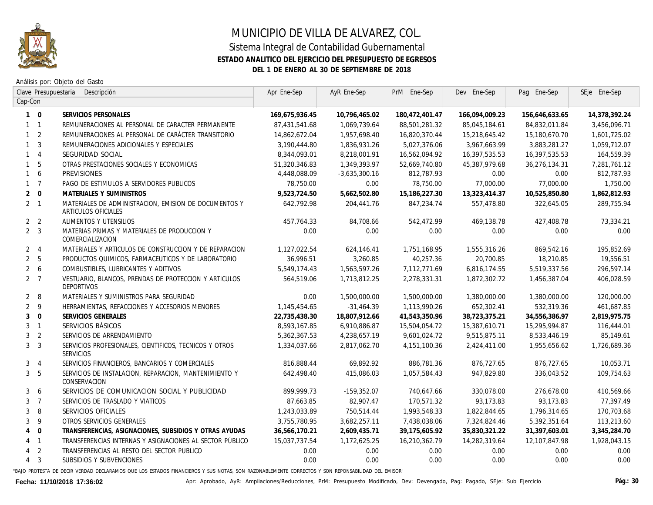

## MUNICIPIO DE VILLA DE ALVAREZ, COL. Sistema Integral de Contabilidad Gubernamental **ESTADO ANALITICO DEL EJERCICIO DEL PRESUPUESTO DE EGRESOS DEL 1 DE ENERO AL 30 DE SEPTIEMBRE DE 2018**

Análisis por: Objeto del Gasto

| Clave Presupuestaria<br>Descripción |                |                                                                              | Apr Ene-Sep    | AyR Ene-Sep   | PrM Ene-Sep    | Dev Ene-Sep    | Pag Ene-Sep    | SEje Ene-Sep      |
|-------------------------------------|----------------|------------------------------------------------------------------------------|----------------|---------------|----------------|----------------|----------------|-------------------|
| Cap-Con                             |                |                                                                              |                |               |                |                |                |                   |
|                                     | $1 \quad 0$    | SERVICIOS PERSONALES                                                         | 169,675,936.45 | 10,796,465.02 | 180,472,401.47 | 166,094,009.23 | 156,646,633.65 | 14,378,392.24     |
|                                     | $1 \quad 1$    | REMUNERACIONES AL PERSONAL DE CARACTER PERMANENTE                            | 87,431,541.68  | 1,069,739.64  | 88,501,281.32  | 85,045,184.61  | 84,832,011.84  | 3,456,096.71      |
|                                     | $1\quad 2$     | REMUNERACIONES AL PERSONAL DE CARÁCTER TRANSITORIO                           | 14,862,672.04  | 1,957,698.40  | 16,820,370.44  | 15,218,645.42  | 15,180,670.70  | 1,601,725.02      |
|                                     | 1 <sup>3</sup> | REMUNERACIONES ADICIONALES Y ESPECIALES                                      | 3,190,444.80   | 1,836,931.26  | 5,027,376.06   | 3,967,663.99   | 3,883,281.27   | 1,059,712.07      |
|                                     | $1 \quad 4$    | SEGURIDAD SOCIAL                                                             | 8,344,093.01   | 8,218,001.91  | 16,562,094.92  | 16,397,535.53  | 16,397,535.53  | 164,559.39        |
|                                     | 1 <sub>5</sub> | OTRAS PRESTACIONES SOCIALES Y ECONOMICAS                                     | 51,320,346.83  | 1,349,393.97  | 52,669,740.80  | 45,387,979.68  | 36,276,134.31  | 7,281,761.12      |
|                                     | $1\quad6$      | <b>PREVISIONES</b>                                                           | 4,448,088.09   | -3,635,300.16 | 812,787.93     | 0.00           | 0.00           | 812,787.93        |
|                                     | $1 \quad 7$    | PAGO DE ESTIMULOS A SERVIDORES PUBLICOS                                      | 78,750,00      | 0.00          | 78,750.00      | 77,000.00      | 77,000.00      | 1,750.00          |
|                                     | $2 \quad 0$    | MATERIALES Y SUMINISTROS                                                     | 9,523,724.50   | 5,662,502.80  | 15,186,227.30  | 13,323,414.37  | 10,525,850.80  | 1,862,812.93      |
|                                     | $2 \quad 1$    | MATERIALES DE ADMINISTRACION, EMISION DE DOCUMENTOS Y<br>ARTICULOS OFICIALES | 642,792.98     | 204,441.76    | 847,234.74     | 557,478.80     | 322,645.05     | 289,755.94        |
|                                     | 2 <sub>2</sub> | ALIMENTOS Y UTENSILIOS                                                       | 457.764.33     | 84,708.66     | 542,472.99     | 469, 138.78    | 427.408.78     | 73.334.21         |
|                                     | 2 <sup>3</sup> | MATERIAS PRIMAS Y MATERIALES DE PRODUCCION Y<br>COMERCIALIZACION             | 0.00           | 0.00          | 0.00           | 0.00           | 0.00           | 0.00              |
|                                     | $2 \quad 4$    | MATERIALES Y ARTICULOS DE CONSTRUCCION Y DE REPARACION                       | 1.127.022.54   | 624,146.41    | 1,751,168.95   | 1,555,316,26   | 869,542.16     | 195,852.69        |
|                                     | 2 <sub>5</sub> | PRODUCTOS QUIMICOS, FARMACEUTICOS Y DE LABORATORIO                           | 36,996,51      | 3.260.85      | 40,257.36      | 20,700.85      | 18.210.85      | 19,556.51         |
|                                     | $2\quad 6$     | COMBUSTIBLES, LUBRICANTES Y ADITIVOS                                         | 5,549,174.43   | 1,563,597.26  | 7,112,771.69   | 6,816,174.55   | 5,519,337.56   | 296,597.14        |
|                                     | 2 <sub>7</sub> | VESTUARIO, BLANCOS, PRENDAS DE PROTECCION Y ARTICULOS<br>DEPORTIVOS          | 564,519.06     | 1,713,812.25  | 2,278,331.31   | 1,872,302.72   | 1,456,387.04   | 406,028.59        |
|                                     | $2 \quad 8$    | MATERIALES Y SUMINISTROS PARA SEGURIDAD                                      | 0.00           | 1,500,000.00  | 1,500,000.00   | 1,380,000.00   | 1,380,000.00   | <i>120,000.00</i> |
|                                     | $2 \quad 9$    | HERRAMIENTAS, REFACCIONES Y ACCESORIOS MENORES                               | 1,145,454.65   | $-31,464.39$  | 1,113,990.26   | 652,302.41     | 532,319.36     | 461,687.85        |
| 3 <sup>7</sup>                      | $\overline{0}$ | SERVICIOS GENERALES                                                          | 22,735,438.30  | 18,807,912.66 | 41,543,350.96  | 38,723,375.21  | 34,556,386.97  | 2,819,975.75      |
|                                     | $3-1$          | SERVICIOS BÁSICOS                                                            | 8,593,167.85   | 6,910,886.87  | 15,504,054.72  | 15,387,610.71  | 15,295,994.87  | 116,444.01        |
| 3                                   | $\overline{2}$ | SERVICIOS DE ARRENDAMIENTO                                                   | 5,362,367.53   | 4,238,657.19  | 9,601,024.72   | 9,515,875.11   | 8,533,446.19   | 85,149.61         |
|                                     | 3 <sup>3</sup> | SERVICIOS PROFESIONALES, CIENTIFICOS, TECNICOS Y OTROS<br>SERVICIOS          | 1,334,037.66   | 2,817,062.70  | 4, 151, 100.36 | 2,424,411.00   | 1,955,656.62   | 1,726,689.36      |
|                                     | $3 \quad 4$    | SERVICIOS FINANCIEROS, BANCARIOS Y COMERCIALES                               | 816,888,44     | 69,892.92     | 886,781.36     | 876,727.65     | 876,727.65     | 10,053.71         |
|                                     | 3 <sub>5</sub> | SERVICIOS DE INSTALACION, REPARACION, MANTENIMIENTO Y<br>CONSERVACION        | 642.498.40     | 415,086.03    | 1,057,584.43   | 947,829,80     | 336.043.52     | 109,754.63        |
| 3 <sup>1</sup>                      | 6              | SERVICIOS DE COMUNICACION SOCIAL Y PUBLICIDAD                                | 899,999.73     | -159,352.07   | 740,647.66     | 330,078.00     | 276,678.00     | 410,569.66        |
|                                     | 3 <sub>7</sub> | SERVICIOS DE TRASLADO Y VIATICOS                                             | 87.663.85      | 82.907.47     | 170.571.32     | 93.173.83      | 93.173.83      | 77,397.49         |
| 3                                   | 8              | SERVICIOS OFICIALES                                                          | 1,243,033.89   | 750.514.44    | 1,993,548.33   | 1,822,844.65   | 1,796,314.65   | 170,703.68        |
| 3                                   | - 9            | OTROS SERVICIOS GENERALES                                                    | 3,755,780.95   | 3,682,257.11  | 7,438,038.06   | 7,324,824.46   | 5,392,351.64   | 113,213.60        |
| $\overline{4}$                      | $\overline{0}$ | TRANSFERENCIAS, ASIGNACIONES, SUBSIDIOS Y OTRAS AYUDAS                       | 36,566,170.21  | 2,609,435.71  | 39,175,605.92  | 35,830,321.22  | 31,397,603.01  | 3,345,284.70      |
|                                     | $4 \quad 1$    | TRANSFERENCIAS INTERNAS Y ASIGNACIONES AL SECTOR PÚBLICO                     | 15,037,737.54  | 1,172,625.25  | 16,210,362.79  | 14,282,319.64  | 12,107,847.98  | 1,928,043.15      |
|                                     | 4 <sub>2</sub> | TRANSFERENCIAS AL RESTO DEL SECTOR PUBLICO                                   | 0.00           | 0.00          | 0.00           | 0.00           | 0.00           | 0.00              |
|                                     | $4 \quad 3$    | SUBSIDIOS Y SUBVENCIONES                                                     | 0.00           | 0.00          | 0.00           | 0.00           | 0.00           | 0.00              |
|                                     |                |                                                                              |                |               |                |                |                |                   |

"BAJO PROTESTA DE DECIR VERDAD DECLARAMOS QUE LOS ESTADOS FINANCIEROS Y SUS NOTAS, SON RAZONABLEMENTE CORRECTOS Y SON REPONSABILIDAD DEL EMISOR"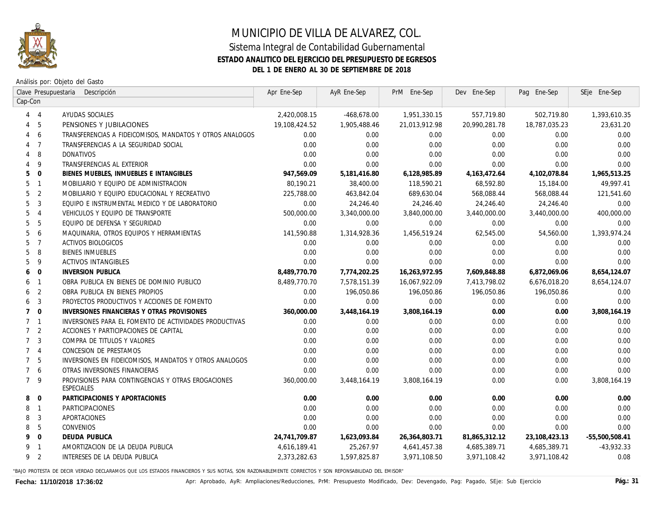

# MUNICIPIO DE VILLA DE ALVAREZ, COL.

### Sistema Integral de Contabilidad Gubernamental **ESTADO ANALITICO DEL EJERCICIO DEL PRESUPUESTO DE EGRESOS DEL 1 DE ENERO AL 30 DE SEPTIEMBRE DE 2018**

Análisis por: Objeto del Gasto

| Clave Presupuestaria<br>Descripción |                         | Apr Ene-Sep                                                      | AyR Ene-Sep   | PrM Ene-Sep  | Dev Ene-Sep   | Pag Ene-Sep    | SEje Ene-Sep     |                  |
|-------------------------------------|-------------------------|------------------------------------------------------------------|---------------|--------------|---------------|----------------|------------------|------------------|
|                                     | Cap-Con                 |                                                                  |               |              |               |                |                  |                  |
|                                     | $4 \quad 4$             | AYUDAS SOCIALES                                                  | 2,420,008.15  | -468,678.00  | 1,951,330.15  | 557,719.80     | 502,719.80       | 1,393,610.35     |
| 4                                   | - 5                     | PENSIONES Y JUBILACIONES                                         | 19,108,424.52 | 1,905,488.46 | 21,013,912.98 | 20,990,281.78  | 18,787,035.23    | 23,631.20        |
| 4                                   | - 6                     | TRANSFERENCIAS A FIDEICOMISOS, MANDATOS Y OTROS ANALOGOS         | 0.00          | 0.00         | 0.00          | 0.00           | 0.00             | 0.00             |
|                                     | 4 <sub>7</sub>          | TRANSFERENCIAS A LA SEGURIDAD SOCIAL                             | 0.00          | 0.00         | 0.00          | 0.00           | 0.00             | 0.00             |
|                                     | 4 8                     | DONATIVOS                                                        | 0.00          | 0.00         | 0.00          | 0.00           | 0.00             | 0.00             |
|                                     | $4\overline{9}$         | TRANSFERENCIAS AL EXTERIOR                                       | 0.00          | 0.00         | 0.00          | 0.00           | 0.00             | 0.00             |
| 5                                   | $\overline{0}$          | BIENES MUEBLES, INMUEBLES E INTANGIBLES                          | 947,569.09    | 5,181,416.80 | 6,128,985.89  | 4, 163, 472.64 | 4,102,078.84     | 1,965,513.25     |
|                                     | 5 <sub>1</sub>          | MOBILIARIO Y EQUIPO DE ADMINISTRACION                            | 80,190.21     | 38,400.00    | 118,590.21    | 68,592.80      | 15,184.00        | 49,997.41        |
| 5                                   | $\overline{2}$          | MOBILIARIO Y EQUIPO EDUCACIONAL Y RECREATIVO                     | 225,788.00    | 463,842.04   | 689,630.04    | 568,088.44     | 568,088.44       | 121,541.60       |
| 5                                   | $\overline{3}$          | EQUIPO E INSTRUMENTAL MEDICO Y DE LABORATORIO                    | 0.00          | 24,246.40    | 24,246.40     | 24,246.40      | 24,246.40        | 0.00             |
| 5                                   | $\overline{4}$          | VEHICULOS Y EQUIPO DE TRANSPORTE                                 | 500,000.00    | 3,340,000.00 | 3,840,000.00  | 3,440,000.00   | 3,440,000.00     | 400,000.00       |
| 5                                   | -5                      | EQUIPO DE DEFENSA Y SEGURIDAD                                    | 0.00          | 0.00         | 0.00          | 0.00           | 0.00             | 0.00             |
| 5                                   | 6                       | MAQUINARIA, OTROS EQUIPOS Y HERRAMIENTAS                         | 141,590.88    | 1,314,928.36 | 1,456,519.24  | 62,545.00      | <i>54,560.00</i> | 1,393,974.24     |
| 5                                   | $\overline{7}$          | ACTIVOS BIOLOGICOS                                               | 0.00          | 0.00         | 0.00          | 0.00           | 0.00             | 0.00             |
| 5                                   | 8                       | <b>BIENES INMUEBLES</b>                                          | 0.00          | 0.00         | 0.00          | 0.00           | 0.00             | 0.00             |
| 5                                   | - 9                     | <b>ACTIVOS INTANGIBLES</b>                                       | 0.00          | 0.00         | 0.00          | 0.00           | 0.00             | 0.00             |
| 6                                   | $\overline{0}$          | <b>INVERSION PUBLICA</b>                                         | 8,489,770.70  | 7,774,202.25 | 16,263,972.95 | 7,609,848.88   | 6,872,069.06     | 8,654,124.07     |
|                                     | 6 1                     | OBRA PUBLICA EN BIENES DE DOMINIO PUBLICO                        | 8,489,770.70  | 7,578,151.39 | 16,067,922.09 | 7,413,798.02   | 6,676,018.20     | 8,654,124.07     |
|                                     | 6 <sub>2</sub>          | OBRA PUBLICA EN BIENES PROPIOS                                   | 0.00          | 196,050.86   | 196,050.86    | 196,050.86     | 196,050.86       | 0.00             |
| 6                                   | $\overline{\mathbf{3}}$ | PROYECTOS PRODUCTIVOS Y ACCIONES DE FOMENTO                      | 0.00          | 0.00         | 0.00          | 0.00           | 0.00             | 0.00             |
|                                     | $7\quad 0$              | INVERSIONES FINANCIERAS Y OTRAS PROVISIONES                      | 360,000.00    | 3,448,164.19 | 3,808,164.19  | 0.00           | 0.00             | 3,808,164.19     |
|                                     | 7 <sub>1</sub>          | INVERSIONES PARA EL FOMENTO DE ACTIVIDADES PRODUCTIVAS           | 0.00          | 0.00         | 0.00          | 0.00           | 0.00             | 0.00             |
|                                     | 7 <sup>2</sup>          | ACCIONES Y PARTICIPACIONES DE CAPITAL                            | 0.00          | 0.00         | 0.00          | 0.00           | 0.00             | 0.00             |
|                                     | 7 <sup>3</sup>          | COMPRA DE TITULOS Y VALORES                                      | 0.00          | 0.00         | 0.00          | 0.00           | 0.00             | 0.00             |
|                                     | 7 <sub>4</sub>          | CONCESION DE PRESTAMOS                                           | 0.00          | 0.00         | 0.00          | 0.00           | 0.00             | 0.00             |
|                                     | 7 <sub>5</sub>          | INVERSIONES EN FIDEICOMISOS, MANDATOS Y OTROS ANALOGOS           | 0.00          | 0.00         | 0.00          | 0.00           | 0.00             | 0.00             |
|                                     | 7 6                     | OTRAS INVERSIONES FINANCIERAS                                    | 0.00          | 0.00         | 0.00          | 0.00           | 0.00             | 0.00             |
|                                     | 7 <sup>9</sup>          | PROVISIONES PARA CONTINGENCIAS Y OTRAS EROGACIONES<br>ESPECIALES | 360,000.00    | 3,448,164.19 | 3,808,164.19  | 0.00           | 0.00             | 3,808,164.19     |
| 8                                   | $\overline{0}$          | PARTICIPACIONES Y APORTACIONES                                   | 0.00          | 0.00         | 0.00          | 0.00           | 0.00             | 0.00             |
|                                     | 8 1                     | PARTICIPACIONES                                                  | 0.00          | 0.00         | 0.00          | 0.00           | 0.00             | 0.00             |
| 8                                   | 3                       | APORTACIONES                                                     | 0.00          | 0.00         | 0.00          | 0.00           | 0.00             | 0.00             |
| 8                                   | 5                       | CONVENIOS                                                        | 0.00          | 0.00         | 0.00          | 0.00           | 0.00             | 0.00             |
| 9                                   | $\overline{\mathbf{0}}$ | <b>DEUDA PUBLICA</b>                                             | 24,741,709.87 | 1,623,093.84 | 26,364,803.71 | 81,865,312.12  | 23,108,423.13    | $-55,500,508.41$ |
|                                     | 9 1                     | AMORTIZACION DE LA DEUDA PUBLICA                                 | 4,616,189.41  | 25,267.97    | 4,641,457.38  | 4,685,389.71   | 4,685,389.71     | $-43,932.33$     |
|                                     | 9 <sub>2</sub>          | INTERESES DE LA DEUDA PUBLICA                                    | 2,373,282.63  | 1,597,825.87 | 3,971,108.50  | 3,971,108.42   | 3,971,108.42     | 0.08             |
|                                     |                         |                                                                  |               |              |               |                |                  |                  |

"BAJO PROTESTA DE DECIR VERDAD DECLARAMOS QUE LOS ESTADOS FINANCIEROS Y SUS NOTAS, SON RAZONABLEMENTE CORRECTOS Y SON REPONSABILIDAD DEL EMISOR"